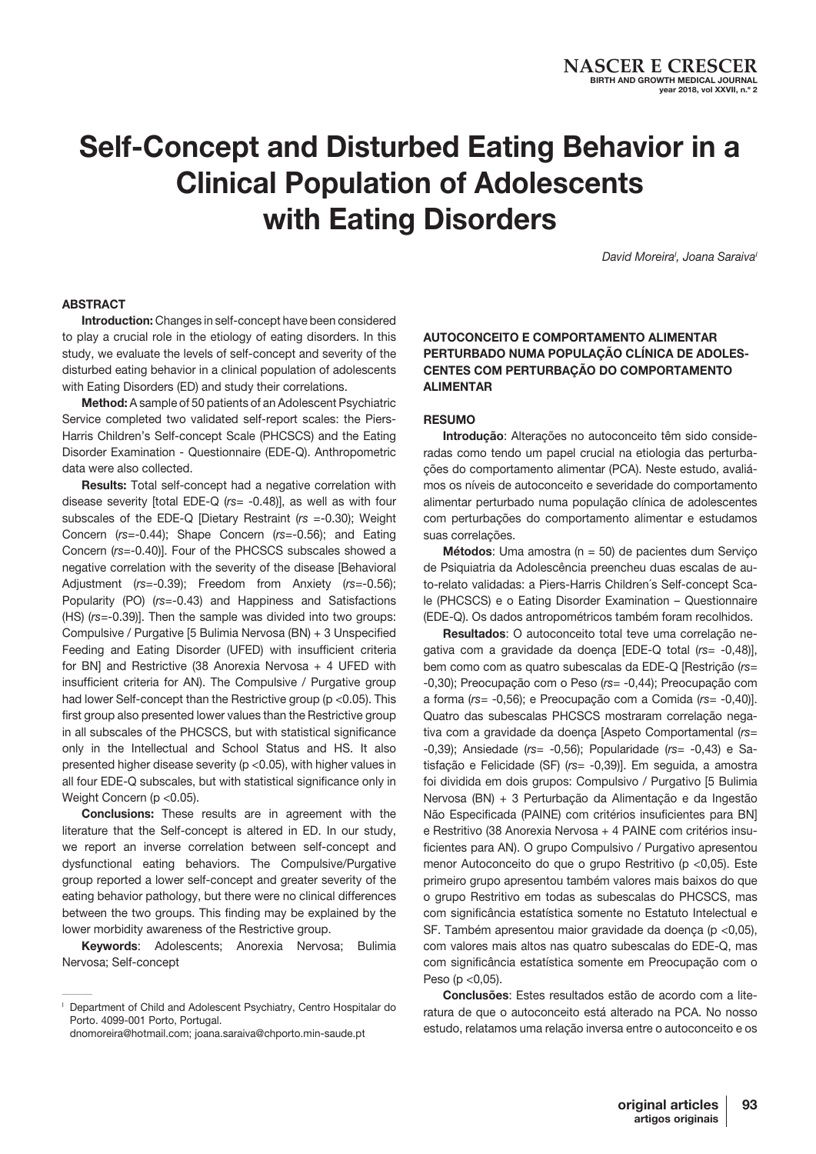# Self-Concept and Disturbed Eating Behavior in a Clinical Population of Adolescents with Eating Disorders

David Moreira<sup>'</sup>, Joana Saraiva<sup>®</sup>

#### **ABSTRACT**

Introduction: Changes in self-concept have been considered to play a crucial role in the etiology of eating disorders. In this study, we evaluate the levels of self-concept and severity of the disturbed eating behavior in a clinical population of adolescents with Eating Disorders (ED) and study their correlations.

Method: A sample of 50 patients of an Adolescent Psychiatric Service completed two validated self-report scales: the Piers-Harris Children's Self-concept Scale (PHCSCS) and the Eating Disorder Examination - Questionnaire (EDE-Q). Anthropometric data were also collected.

Results: Total self-concept had a negative correlation with disease severity [total EDE-Q (*rs*= -0.48)], as well as with four subscales of the EDE-Q [Dietary Restraint (*rs* =-0.30); Weight Concern (*rs*=-0.44); Shape Concern (*rs*=-0.56); and Eating Concern (*rs*=-0.40)]. Four of the PHCSCS subscales showed a negative correlation with the severity of the disease [Behavioral Adjustment (*rs*=-0.39); Freedom from Anxiety (*rs*=-0.56); Popularity (PO) (*rs*=-0.43) and Happiness and Satisfactions (HS) (*rs*=-0.39)]. Then the sample was divided into two groups: Compulsive / Purgative [5 Bulimia Nervosa (BN) + 3 Unspecified Feeding and Eating Disorder (UFED) with insufficient criteria for BN] and Restrictive (38 Anorexia Nervosa + 4 UFED with insufficient criteria for AN). The Compulsive / Purgative group had lower Self-concept than the Restrictive group (p <0.05). This first group also presented lower values than the Restrictive group in all subscales of the PHCSCS, but with statistical significance only in the Intellectual and School Status and HS. It also presented higher disease severity (p <0.05), with higher values in all four EDE-Q subscales, but with statistical significance only in Weight Concern (p < 0.05).

Conclusions: These results are in agreement with the literature that the Self-concept is altered in ED. In our study, we report an inverse correlation between self-concept and dysfunctional eating behaviors. The Compulsive/Purgative group reported a lower self-concept and greater severity of the eating behavior pathology, but there were no clinical differences between the two groups. This finding may be explained by the lower morbidity awareness of the Restrictive group.

Keywords: Adolescents; Anorexia Nervosa; Bulimia Nervosa; Self-concept

 $\sim$ 

## AUTOCONCEITO E COMPORTAMENTO ALIMENTAR PERTURBADO NUMA POPULAÇÃO CLÍNICA DE ADOLES-CENTES COM PERTURBAÇÃO DO COMPORTAMENTO ALIMENTAR

#### **RESUMO**

Introdução: Alterações no autoconceito têm sido consideradas como tendo um papel crucial na etiologia das perturbações do comportamento alimentar (PCA). Neste estudo, avaliámos os níveis de autoconceito e severidade do comportamento alimentar perturbado numa população clínica de adolescentes com perturbações do comportamento alimentar e estudamos suas correlações.

**Métodos:** Uma amostra ( $n = 50$ ) de pacientes dum Serviço de Psiquiatria da Adolescência preencheu duas escalas de auto-relato validadas: a Piers-Harris Children´s Self-concept Scale (PHCSCS) e o Eating Disorder Examination – Questionnaire (EDE-Q). Os dados antropométricos também foram recolhidos.

Resultados: O autoconceito total teve uma correlação negativa com a gravidade da doença [EDE-Q total (*rs*= -0,48)], bem como com as quatro subescalas da EDE-Q [Restrição (*rs*= -0,30); Preocupação com o Peso (*rs*= -0,44); Preocupação com a forma (*rs*= -0,56); e Preocupação com a Comida (*rs*= -0,40)]. Quatro das subescalas PHCSCS mostraram correlação negativa com a gravidade da doença [Aspeto Comportamental (*rs*= -0,39); Ansiedade (*rs*= -0,56); Popularidade (*rs*= -0,43) e Satisfação e Felicidade (SF) (*rs*= -0,39)]. Em seguida, a amostra foi dividida em dois grupos: Compulsivo / Purgativo [5 Bulimia Nervosa (BN) + 3 Perturbação da Alimentação e da Ingestão Não Especificada (PAINE) com critérios insuficientes para BN] e Restritivo (38 Anorexia Nervosa + 4 PAINE com critérios insuficientes para AN). O grupo Compulsivo / Purgativo apresentou menor Autoconceito do que o grupo Restritivo (p <0,05). Este primeiro grupo apresentou também valores mais baixos do que o grupo Restritivo em todas as subescalas do PHCSCS, mas com significância estatística somente no Estatuto Intelectual e SF. Também apresentou maior gravidade da doença (p <0,05), com valores mais altos nas quatro subescalas do EDE-Q, mas com significância estatística somente em Preocupação com o Peso ( $p < 0,05$ ).

Conclusões: Estes resultados estão de acordo com a literatura de que o autoconceito está alterado na PCA. No nosso estudo, relatamos uma relação inversa entre o autoconceito e os

Department of Child and Adolescent Psychiatry, Centro Hospitalar do Porto. 4099-001 Porto, Portugal.

dnomoreira@hotmail.com; joana.saraiva@chporto.min-saude.pt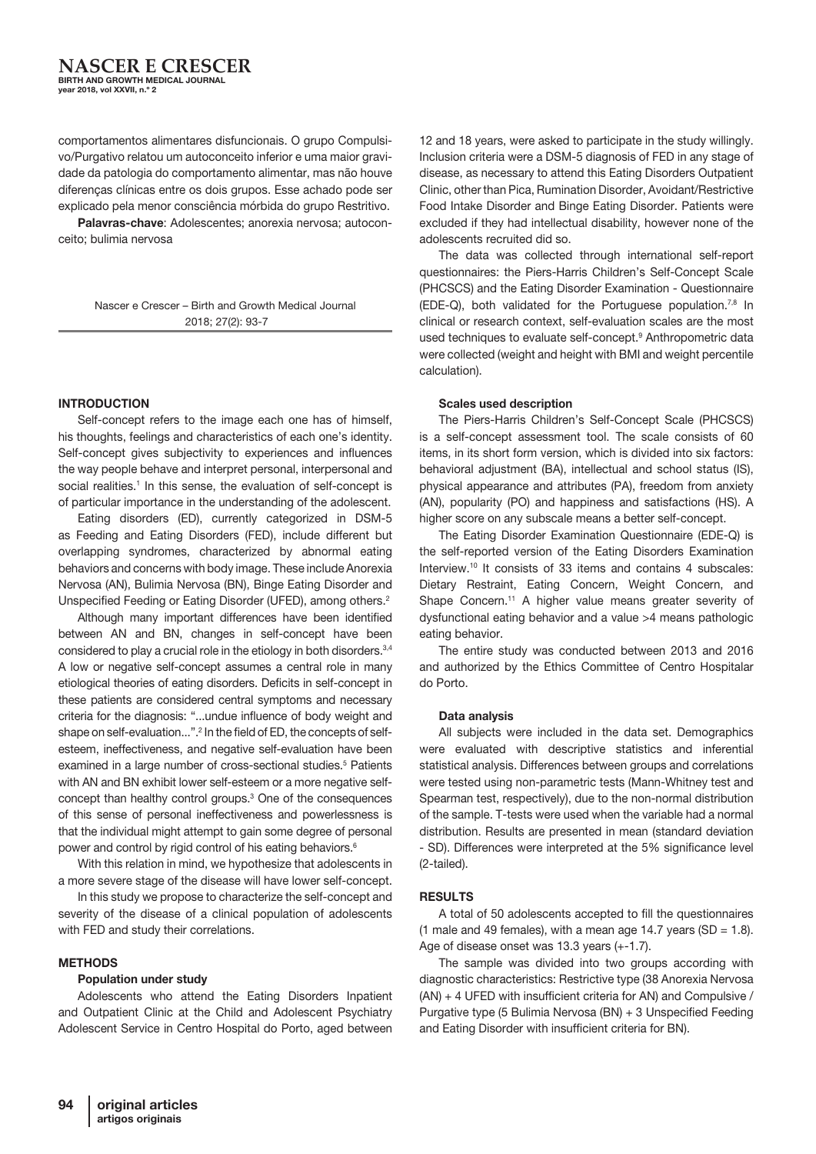comportamentos alimentares disfuncionais. O grupo Compulsivo/Purgativo relatou um autoconceito inferior e uma maior gravidade da patologia do comportamento alimentar, mas não houve diferenças clínicas entre os dois grupos. Esse achado pode ser explicado pela menor consciência mórbida do grupo Restritivo.

Palavras-chave: Adolescentes; anorexia nervosa; autoconceito; bulimia nervosa

> Nascer e Crescer – Birth and Growth Medical Journal 2018; 27(2): 93-7

#### INTRODUCTION

Self-concept refers to the image each one has of himself, his thoughts, feelings and characteristics of each one's identity. Self-concept gives subjectivity to experiences and influences the way people behave and interpret personal, interpersonal and social realities.<sup>1</sup> In this sense, the evaluation of self-concept is of particular importance in the understanding of the adolescent.

Eating disorders (ED), currently categorized in DSM-5 as Feeding and Eating Disorders (FED), include different but overlapping syndromes, characterized by abnormal eating behaviors and concerns with body image. These include Anorexia Nervosa (AN), Bulimia Nervosa (BN), Binge Eating Disorder and Unspecified Feeding or Eating Disorder (UFED), among others.2

Although many important differences have been identified between AN and BN, changes in self-concept have been considered to play a crucial role in the etiology in both disorders.<sup>3,4</sup> A low or negative self-concept assumes a central role in many etiological theories of eating disorders. Deficits in self-concept in these patients are considered central symptoms and necessary criteria for the diagnosis: "...undue influence of body weight and shape on self-evaluation...".2 In the field of ED, the concepts of selfesteem, ineffectiveness, and negative self-evaluation have been examined in a large number of cross-sectional studies.<sup>5</sup> Patients with AN and BN exhibit lower self-esteem or a more negative selfconcept than healthy control groups.3 One of the consequences of this sense of personal ineffectiveness and powerlessness is that the individual might attempt to gain some degree of personal power and control by rigid control of his eating behaviors.<sup>6</sup>

With this relation in mind, we hypothesize that adolescents in a more severe stage of the disease will have lower self-concept.

In this study we propose to characterize the self-concept and severity of the disease of a clinical population of adolescents with FED and study their correlations.

#### **METHODS**

#### Population under study

Adolescents who attend the Eating Disorders Inpatient and Outpatient Clinic at the Child and Adolescent Psychiatry Adolescent Service in Centro Hospital do Porto, aged between

12 and 18 years, were asked to participate in the study willingly. Inclusion criteria were a DSM-5 diagnosis of FED in any stage of disease, as necessary to attend this Eating Disorders Outpatient Clinic, other than Pica, Rumination Disorder, Avoidant/Restrictive Food Intake Disorder and Binge Eating Disorder. Patients were excluded if they had intellectual disability, however none of the adolescents recruited did so.

The data was collected through international self-report questionnaires: the Piers-Harris Children's Self-Concept Scale (PHCSCS) and the Eating Disorder Examination - Questionnaire (EDE-Q), both validated for the Portuguese population.7,8 In clinical or research context, self-evaluation scales are the most used techniques to evaluate self-concept.9 Anthropometric data were collected (weight and height with BMI and weight percentile calculation).

#### Scales used description

The Piers-Harris Children's Self-Concept Scale (PHCSCS) is a self-concept assessment tool. The scale consists of 60 items, in its short form version, which is divided into six factors: behavioral adjustment (BA), intellectual and school status (IS), physical appearance and attributes (PA), freedom from anxiety (AN), popularity (PO) and happiness and satisfactions (HS). A higher score on any subscale means a better self-concept.

The Eating Disorder Examination Questionnaire (EDE-Q) is the self-reported version of the Eating Disorders Examination Interview.<sup>10</sup> It consists of 33 items and contains 4 subscales: Dietary Restraint, Eating Concern, Weight Concern, and Shape Concern.<sup>11</sup> A higher value means greater severity of dysfunctional eating behavior and a value >4 means pathologic eating behavior.

The entire study was conducted between 2013 and 2016 and authorized by the Ethics Committee of Centro Hospitalar do Porto.

#### Data analysis

All subjects were included in the data set. Demographics were evaluated with descriptive statistics and inferential statistical analysis. Differences between groups and correlations were tested using non-parametric tests (Mann-Whitney test and Spearman test, respectively), due to the non-normal distribution of the sample. T-tests were used when the variable had a normal distribution. Results are presented in mean (standard deviation - SD). Differences were interpreted at the 5% significance level (2-tailed).

#### **RESULTS**

A total of 50 adolescents accepted to fill the questionnaires (1 male and 49 females), with a mean age 14.7 years (SD =  $1.8$ ). Age of disease onset was 13.3 years (+-1.7).

The sample was divided into two groups according with diagnostic characteristics: Restrictive type (38 Anorexia Nervosa (AN) + 4 UFED with insufficient criteria for AN) and Compulsive / Purgative type (5 Bulimia Nervosa (BN) + 3 Unspecified Feeding and Eating Disorder with insufficient criteria for BN).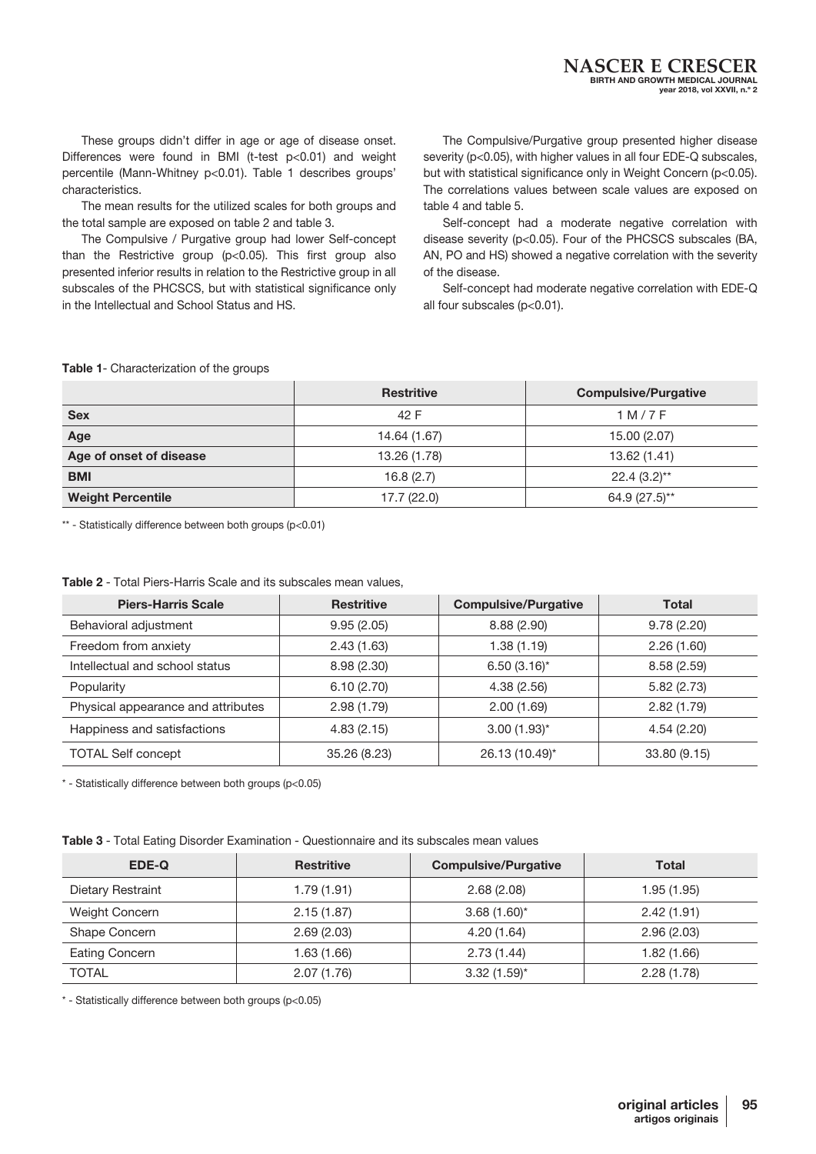These groups didn't differ in age or age of disease onset. Differences were found in BMI (t-test p<0.01) and weight percentile (Mann-Whitney p<0.01). Table 1 describes groups' characteristics.

The mean results for the utilized scales for both groups and the total sample are exposed on table 2 and table 3.

The Compulsive / Purgative group had lower Self-concept than the Restrictive group  $(p<0.05)$ . This first group also presented inferior results in relation to the Restrictive group in all subscales of the PHCSCS, but with statistical significance only in the Intellectual and School Status and HS.

The Compulsive/Purgative group presented higher disease severity (p<0.05), with higher values in all four EDE-Q subscales, but with statistical significance only in Weight Concern (p<0.05). The correlations values between scale values are exposed on table 4 and table 5.

Self-concept had a moderate negative correlation with disease severity (p<0.05). Four of the PHCSCS subscales (BA, AN, PO and HS) showed a negative correlation with the severity of the disease.

Self-concept had moderate negative correlation with EDE-Q all four subscales (p<0.01).

#### Table 1- Characterization of the groups

|                          | <b>Restritive</b> | <b>Compulsive/Purgative</b> |
|--------------------------|-------------------|-----------------------------|
| <b>Sex</b>               | 42 F              | 1 M / 7 F                   |
| Age                      | 14.64 (1.67)      | 15.00 (2.07)                |
| Age of onset of disease  | 13.26 (1.78)      | 13.62 (1.41)                |
| <b>BMI</b>               | 16.8(2.7)         | $22.4(3.2)$ **              |
| <b>Weight Percentile</b> | 17.7 (22.0)       | 64.9 (27.5)**               |

\*\* - Statistically difference between both groups (p<0.01)

| Table 2 - Total Piers-Harris Scale and its subscales mean values, |
|-------------------------------------------------------------------|
|-------------------------------------------------------------------|

| <b>Piers-Harris Scale</b>          | <b>Restritive</b> | <b>Compulsive/Purgative</b> | <b>Total</b> |
|------------------------------------|-------------------|-----------------------------|--------------|
| Behavioral adjustment              | 9.95(2.05)        | 8.88(2.90)                  | 9.78(2.20)   |
| Freedom from anxiety               | 2.43(1.63)        | 1.38(1.19)                  | 2.26(1.60)   |
| Intellectual and school status     | 8.98(2.30)        | $6.50(3.16)$ *              | 8.58(2.59)   |
| Popularity                         | 6.10(2.70)        | 4.38(2.56)                  | 5.82(2.73)   |
| Physical appearance and attributes | 2.98(1.79)        | 2.00(1.69)                  | 2.82(1.79)   |
| Happiness and satisfactions        | 4.83(2.15)        | $3.00(1.93)$ *              | 4.54(2.20)   |
| <b>TOTAL Self concept</b>          | 35.26 (8.23)      | 26.13 (10.49)*              | 33.80 (9.15) |

\* - Statistically difference between both groups (p<0.05)

| Table 3 - Total Eating Disorder Examination - Questionnaire and its subscales mean values |  |
|-------------------------------------------------------------------------------------------|--|
|-------------------------------------------------------------------------------------------|--|

| EDE-Q             | <b>Restritive</b> | <b>Compulsive/Purgative</b> | <b>Total</b> |
|-------------------|-------------------|-----------------------------|--------------|
| Dietary Restraint | 1.79(1.91)        | 2.68(2.08)                  | 1.95 (1.95)  |
| Weight Concern    | 2.15(1.87)        | $3.68(1.60)^{*}$            | 2.42(1.91)   |
| Shape Concern     | 2.69(2.03)        | 4.20 (1.64)                 | 2.96(2.03)   |
| Eating Concern    | 1.63(1.66)        | 2.73(1.44)                  | 1.82 (1.66)  |
| <b>TOTAL</b>      | 2.07(1.76)        | $3.32(1.59)^{*}$            | 2.28(1.78)   |

\* - Statistically difference between both groups (p<0.05)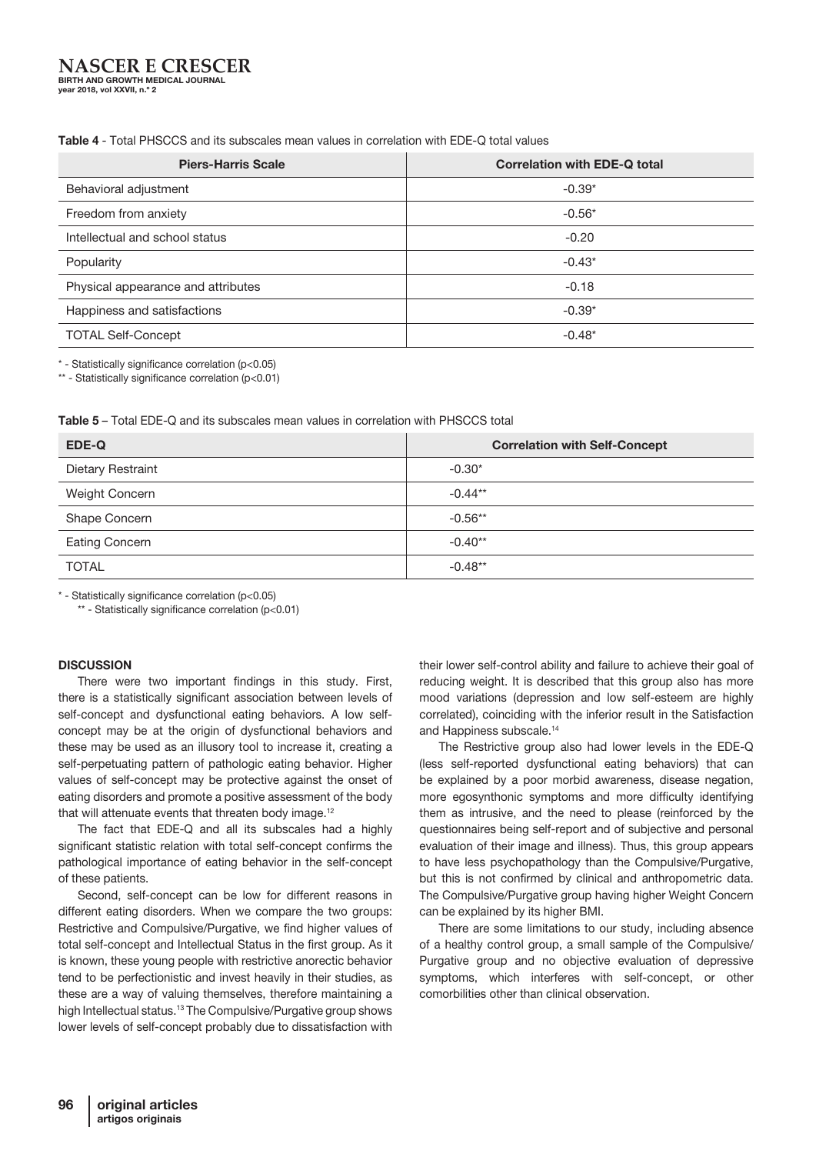#### **NASCER E CRESCER** BIRTH AND GROWTH MEDICAL JOURNAL year 2018, vol XXVII, n.º 2

### Table 4 - Total PHSCCS and its subscales mean values in correlation with EDE-Q total values

| <b>Piers-Harris Scale</b>          | <b>Correlation with EDE-Q total</b> |
|------------------------------------|-------------------------------------|
| Behavioral adjustment              | $-0.39*$                            |
| Freedom from anxiety               | $-0.56*$                            |
| Intellectual and school status     | $-0.20$                             |
| Popularity                         | $-0.43*$                            |
| Physical appearance and attributes | $-0.18$                             |
| Happiness and satisfactions        | $-0.39*$                            |
| <b>TOTAL Self-Concept</b>          | $-0.48*$                            |

\* - Statistically significance correlation (p<0.05)

\*\* - Statistically significance correlation (p<0.01)

#### Table 5 – Total EDE-Q and its subscales mean values in correlation with PHSCCS total

| EDE-Q                    | <b>Correlation with Self-Concept</b> |
|--------------------------|--------------------------------------|
| <b>Dietary Restraint</b> | $-0.30*$                             |
| Weight Concern           | $-0.44**$                            |
| Shape Concern            | $-0.56**$                            |
| <b>Eating Concern</b>    | $-0.40**$                            |
| <b>TOTAL</b>             | $-0.48**$                            |

\* - Statistically significance correlation (p<0.05)

\*\* - Statistically significance correlation (p<0.01)

#### **DISCUSSION**

There were two important findings in this study. First, there is a statistically significant association between levels of self-concept and dysfunctional eating behaviors. A low selfconcept may be at the origin of dysfunctional behaviors and these may be used as an illusory tool to increase it, creating a self-perpetuating pattern of pathologic eating behavior. Higher values of self-concept may be protective against the onset of eating disorders and promote a positive assessment of the body that will attenuate events that threaten body image.<sup>12</sup>

The fact that EDE-Q and all its subscales had a highly significant statistic relation with total self-concept confirms the pathological importance of eating behavior in the self-concept of these patients.

Second, self-concept can be low for different reasons in different eating disorders. When we compare the two groups: Restrictive and Compulsive/Purgative, we find higher values of total self-concept and Intellectual Status in the first group. As it is known, these young people with restrictive anorectic behavior tend to be perfectionistic and invest heavily in their studies, as these are a way of valuing themselves, therefore maintaining a high Intellectual status.13 The Compulsive/Purgative group shows lower levels of self-concept probably due to dissatisfaction with

their lower self-control ability and failure to achieve their goal of reducing weight. It is described that this group also has more mood variations (depression and low self-esteem are highly correlated), coinciding with the inferior result in the Satisfaction and Happiness subscale.14

The Restrictive group also had lower levels in the EDE-Q (less self-reported dysfunctional eating behaviors) that can be explained by a poor morbid awareness, disease negation, more egosynthonic symptoms and more difficulty identifying them as intrusive, and the need to please (reinforced by the questionnaires being self-report and of subjective and personal evaluation of their image and illness). Thus, this group appears to have less psychopathology than the Compulsive/Purgative, but this is not confirmed by clinical and anthropometric data. The Compulsive/Purgative group having higher Weight Concern can be explained by its higher BMI.

There are some limitations to our study, including absence of a healthy control group, a small sample of the Compulsive/ Purgative group and no objective evaluation of depressive symptoms, which interferes with self-concept, or other comorbilities other than clinical observation.